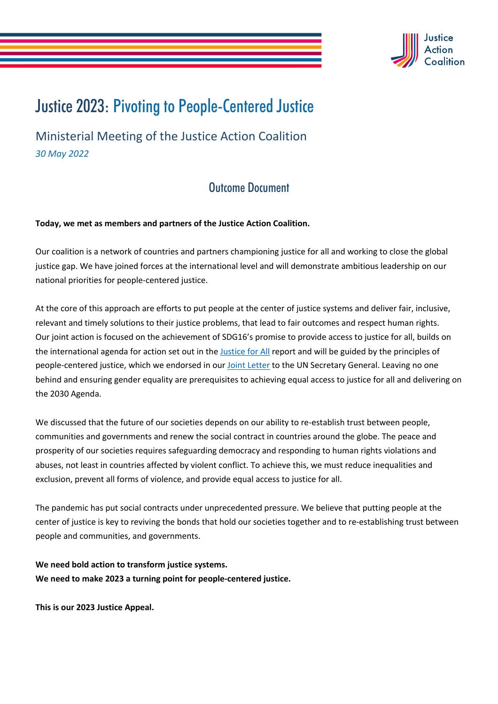

## Justice 2023: Pivoting to People-Centered Justice

Ministerial Meeting of the Justice Action Coalition *30 May 2022*

## Outcome Document

**Today, we met as members and partners of the Justice Action Coalition.**

Our coalition is a network of countries and partners championing justice for all and working to close the global justice gap. We have joined forces at the international level and will demonstrate ambitious leadership on our national priorities for people-centered justice.

At the core of this approach are efforts to put people at the center of justice systems and deliver fair, inclusive, relevant and timely solutions to their justice problems, that lead to fair outcomes and respect human rights. Our joint action is focused on the achievement of SDG16's promise to provide access to justice for all, builds on the international agenda for action set out in the Justice for All report and will be guided by the principles of people-centered justice, which we endorsed in our Joint Letter to the UN Secretary General. Leaving no one behind and ensuring gender equality are prerequisites to achieving equal access to justice for all and delivering on the 2030 Agenda.

We discussed that the future of our societies depends on our ability to re-establish trust between people, communities and governments and renew the social contract in countries around the globe. The peace and prosperity of our societies requires safeguarding democracy and responding to human rights violations and abuses, not least in countries affected by violent conflict. To achieve this, we must reduce inequalities and exclusion, prevent all forms of violence, and provide equal access to justice for all.

The pandemic has put social contracts under unprecedented pressure. We believe that putting people at the center of justice is key to reviving the bonds that hold our societies together and to re-establishing trust between people and communities, and governments.

**We need bold action to transform justice systems. We need to make 2023 a turning point for people-centered justice.** 

**This is our 2023 Justice Appeal.**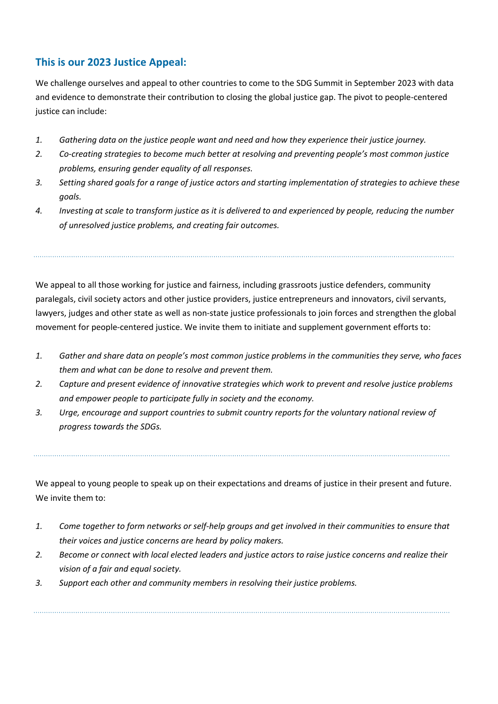## **This is our 2023 Justice Appeal:**

We challenge ourselves and appeal to other countries to come to the SDG Summit in September 2023 with data and evidence to demonstrate their contribution to closing the global justice gap. The pivot to people-centered justice can include:

- *1. Gathering data on the justice people want and need and how they experience their justice journey.*
- *2. Co-creating strategies to become much better at resolving and preventing people's most common justice problems, ensuring gender equality of all responses.*
- *3. Setting shared goals for a range of justice actors and starting implementation of strategies to achieve these goals.*
- *4. Investing at scale to transform justice as it is delivered to and experienced by people, reducing the number of unresolved justice problems, and creating fair outcomes.*

We appeal to all those working for justice and fairness, including grassroots justice defenders, community paralegals, civil society actors and other justice providers, justice entrepreneurs and innovators, civil servants, lawyers, judges and other state as well as non-state justice professionals to join forces and strengthen the global movement for people-centered justice. We invite them to initiate and supplement government efforts to:

- *1. Gather and share data on people's most common justice problems in the communities they serve, who faces them and what can be done to resolve and prevent them.*
- *2. Capture and present evidence of innovative strategies which work to prevent and resolve justice problems and empower people to participate fully in society and the economy.*
- *3. Urge, encourage and support countries to submit country reports for the voluntary national review of progress towards the SDGs.*

We appeal to young people to speak up on their expectations and dreams of justice in their present and future. We invite them to:

- *1. Come together to form networks or self-help groups and get involved in their communities to ensure that their voices and justice concerns are heard by policy makers.*
- *2. Become or connect with local elected leaders and justice actors to raise justice concerns and realize their vision of a fair and equal society.*
- *3. Support each other and community members in resolving their justice problems.*